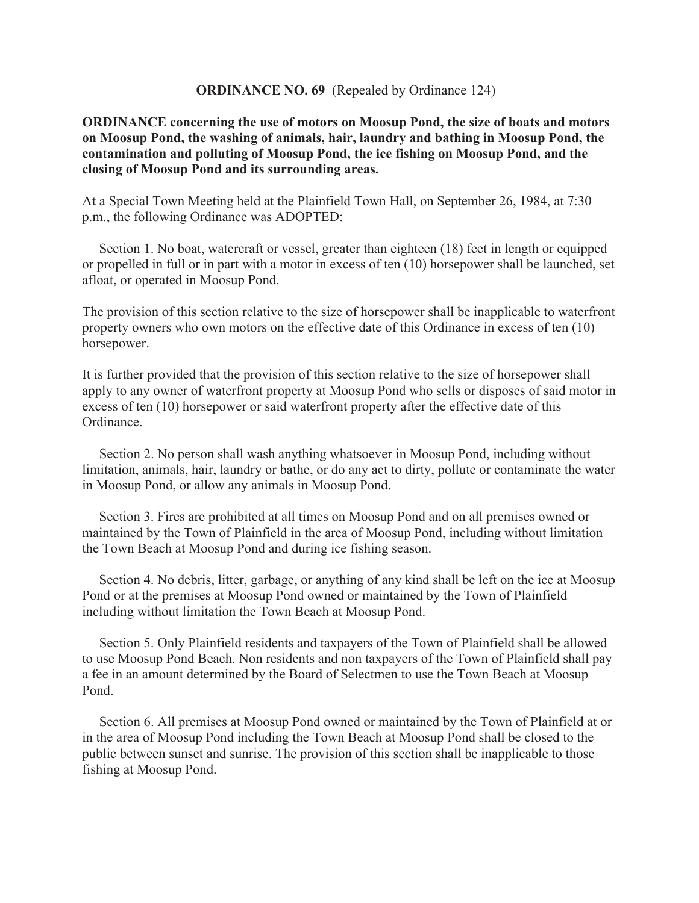## **ORDINANCE NO. 69** (Repealed by Ordinance 124)

## **ORDINANCE concerning the use of motors on Moosup Pond, the size of boats and motors on Moosup Pond, the washing of animals, hair, laundry and bathing in Moosup Pond, the contamination and polluting of Moosup Pond, the ice fishing on Moosup Pond, and the closing of Moosup Pond and its surrounding areas.**

At a Special Town Meeting held at the Plainfield Town Hall, on September 26, 1984, at 7:30 p.m., the following Ordinance was ADOPTED:

Section 1. No boat, watercraft or vessel, greater than eighteen (18) feet in length or equipped or propelled in full or in part with a motor in excess of ten (10) horsepower shall be launched, set afloat, or operated in Moosup Pond.

The provision of this section relative to the size of horsepower shall be inapplicable to waterfront property owners who own motors on the effective date of this Ordinance in excess of ten (10) horsepower.

It is further provided that the provision of this section relative to the size of horsepower shall apply to any owner of waterfront property at Moosup Pond who sells or disposes of said motor in excess of ten (10) horsepower or said waterfront property after the effective date of this Ordinance.

 Section 2. No person shall wash anything whatsoever in Moosup Pond, including without limitation, animals, hair, laundry or bathe, or do any act to dirty, pollute or contaminate the water in Moosup Pond, or allow any animals in Moosup Pond.

 Section 3. Fires are prohibited at all times on Moosup Pond and on all premises owned or maintained by the Town of Plainfield in the area of Moosup Pond, including without limitation the Town Beach at Moosup Pond and during ice fishing season.

 Section 4. No debris, litter, garbage, or anything of any kind shall be left on the ice at Moosup Pond or at the premises at Moosup Pond owned or maintained by the Town of Plainfield including without limitation the Town Beach at Moosup Pond.

 Section 5. Only Plainfield residents and taxpayers of the Town of Plainfield shall be allowed to use Moosup Pond Beach. Non residents and non taxpayers of the Town of Plainfield shall pay a fee in an amount determined by the Board of Selectmen to use the Town Beach at Moosup Pond.

 Section 6. All premises at Moosup Pond owned or maintained by the Town of Plainfield at or in the area of Moosup Pond including the Town Beach at Moosup Pond shall be closed to the public between sunset and sunrise. The provision of this section shall be inapplicable to those fishing at Moosup Pond.